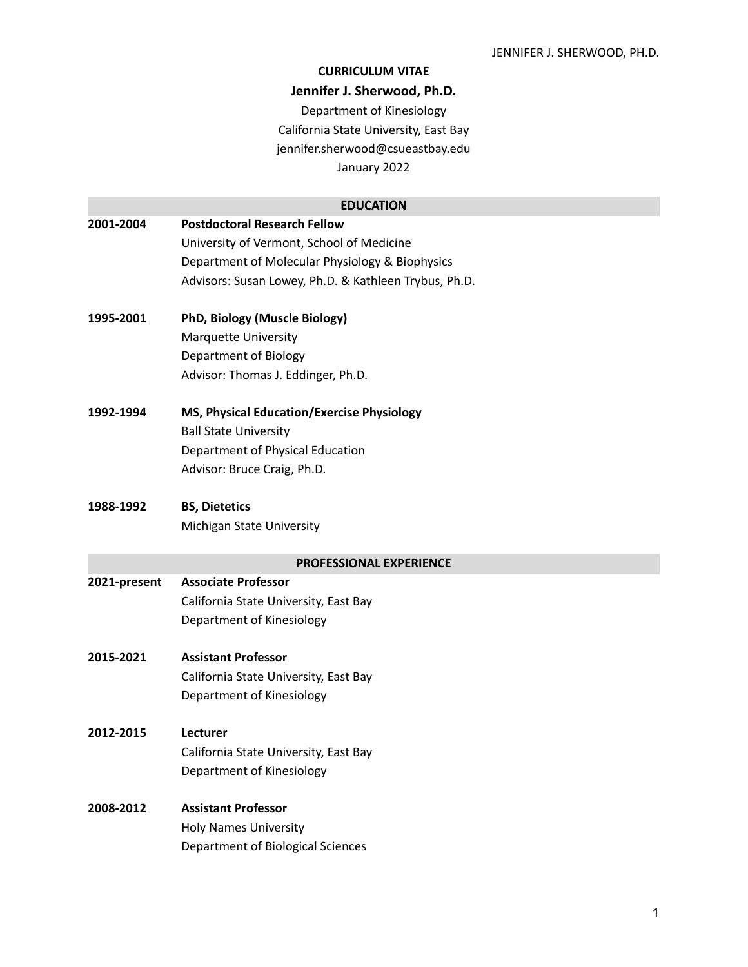#### **CURRICULUM VITAE**

#### **Jennifer J. Sherwood, Ph.D.**

Department of Kinesiology California State University, East Bay jennifer.sherwood@csueastbay.edu January 2022

#### **EDUCATION**

**2001-2004 Postdoctoral Research Fellow** University of Vermont, School of Medicine Department of Molecular Physiology & Biophysics Advisors: Susan Lowey, Ph.D. & Kathleen Trybus, Ph.D. **1995-2001 PhD, Biology (Muscle Biology)** Marquette University Department of Biology Advisor: Thomas J. Eddinger, Ph.D. **1992-1994 MS, Physical Education/Exercise Physiology** Ball State University Department of Physical Education Advisor: Bruce Craig, Ph.D.

## **1988-1992 BS, Dietetics**

Michigan State University

#### **PROFESSIONAL EXPERIENCE**

**2021-present Associate Professor** California State University, East Bay Department of Kinesiology

## **2015-2021 Assistant Professor**

California State University, East Bay Department of Kinesiology

**2012-2015 Lecturer** California State University, East Bay Department of Kinesiology

## **2008-2012 Assistant Professor** Holy Names University Department of Biological Sciences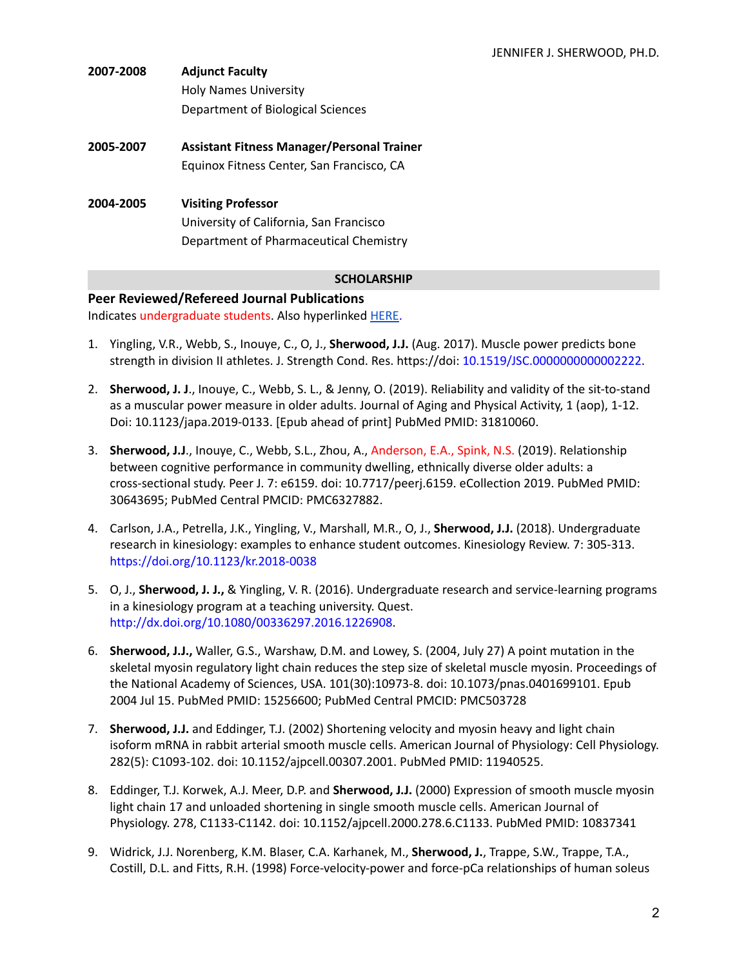| 2007-2008 | <b>Adjunct Faculty</b>                            |  |
|-----------|---------------------------------------------------|--|
|           | <b>Holy Names University</b>                      |  |
|           | Department of Biological Sciences                 |  |
| 2005-2007 | <b>Assistant Fitness Manager/Personal Trainer</b> |  |
|           | Equinox Fitness Center, San Francisco, CA         |  |
| 2004-2005 | <b>Visiting Professor</b>                         |  |
|           | University of California, San Francisco           |  |
|           | Department of Pharmaceutical Chemistry            |  |
|           |                                                   |  |

#### **SCHOLARSHIP**

# **Peer Reviewed/Refereed Journal Publications**

Indicates undergraduate students. Also hyperlinked [HERE.](https://www.ncbi.nlm.nih.gov/myncbi/1VYnb62QNGUkl/bibliography/public/)

- 1. Yingling, V.R., Webb, S., Inouye, C., O, J., **Sherwood, J.J.** (Aug. 2017). Muscle power predicts bone strength in division II athletes. J. Strength Cond. Res. https://doi: 10.1519/JSC.0000000000002222.
- 2. **Sherwood, J. J**., Inouye, C., Webb, S. L., & Jenny, O. (2019). Reliability and validity of the sit-to-stand as a muscular power measure in older adults. Journal of Aging and Physical Activity, 1 (aop), 1-12. Doi: 10.1123/japa.2019-0133. [Epub ahead of print] PubMed PMID: 31810060.
- 3. **Sherwood, J.J**., Inouye, C., Webb, S.L., Zhou, A., Anderson, E.A., Spink, N.S. (2019). Relationship between cognitive performance in community dwelling, ethnically diverse older adults: a cross-sectional study. Peer J. 7: e6159. doi: 10.7717/peerj.6159. eCollection 2019. PubMed PMID: 30643695; PubMed Central PMCID: PMC6327882.
- 4. Carlson, J.A., Petrella, J.K., Yingling, V., Marshall, M.R., O, J., **Sherwood, J.J.** (2018). Undergraduate research in kinesiology: examples to enhance student outcomes. Kinesiology Review. 7: 305-313. https://doi.org/10.1123/kr.2018-0038
- 5. O, J., **Sherwood, J. J.,** & Yingling, V. R. (2016). Undergraduate research and service-learning programs in a kinesiology program at a teaching university. Quest. http://dx.doi.org/10.1080/00336297.2016.1226908.
- 6. **Sherwood, J.J.,** Waller, G.S., Warshaw, D.M. and Lowey, S. (2004, July 27) A point mutation in the skeletal myosin regulatory light chain reduces the step size of skeletal muscle myosin. Proceedings of the National Academy of Sciences, USA. 101(30):10973-8. doi: 10.1073/pnas.0401699101. Epub 2004 Jul 15. PubMed PMID: 15256600; PubMed Central PMCID: PMC503728
- 7. **Sherwood, J.J.** and Eddinger, T.J. (2002) Shortening velocity and myosin heavy and light chain isoform mRNA in rabbit arterial smooth muscle cells. American Journal of Physiology: Cell Physiology. 282(5): C1093-102. doi: 10.1152/ajpcell.00307.2001. PubMed PMID: 11940525.
- 8. Eddinger, T.J. Korwek, A.J. Meer, D.P. and **Sherwood, J.J.** (2000) Expression of smooth muscle myosin light chain 17 and unloaded shortening in single smooth muscle cells. American Journal of Physiology. 278, C1133-C1142. doi: 10.1152/ajpcell.2000.278.6.C1133. PubMed PMID: 10837341
- 9. Widrick, J.J. Norenberg, K.M. Blaser, C.A. Karhanek, M., **Sherwood, J.**, Trappe, S.W., Trappe, T.A., Costill, D.L. and Fitts, R.H. (1998) Force-velocity-power and force-pCa relationships of human soleus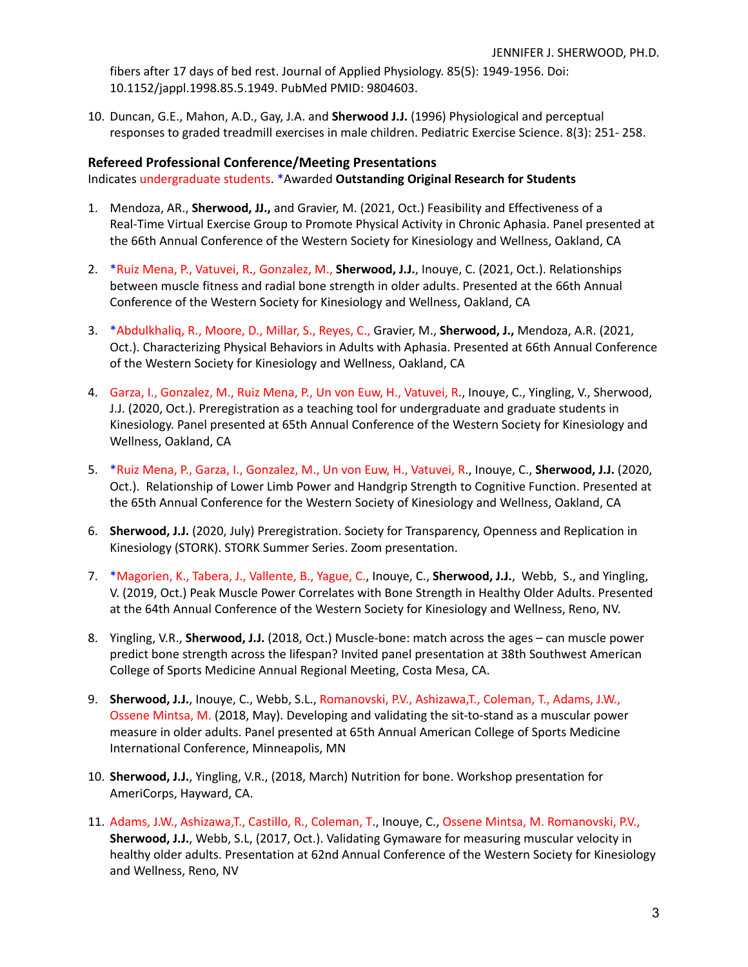fibers after 17 days of bed rest. Journal of Applied Physiology. 85(5): 1949-1956. Doi: 10.1152/jappl.1998.85.5.1949. PubMed PMID: 9804603.

10. Duncan, G.E., Mahon, A.D., Gay, J.A. and **Sherwood J.J.** (1996) Physiological and perceptual responses to graded treadmill exercises in male children. Pediatric Exercise Science. 8(3): 251- 258.

#### **Refereed Professional Conference/Meeting Presentations**

Indicates undergraduate students. \*Awarded **Outstanding Original Research for Students**

- 1. Mendoza, AR., **Sherwood, JJ.,** and Gravier, M. (2021, Oct.) Feasibility and Effectiveness of a Real-Time Virtual Exercise Group to Promote Physical Activity in Chronic Aphasia. Panel presented at the 66th Annual Conference of the Western Society for Kinesiology and Wellness, Oakland, CA
- 2. \*Ruiz Mena, P., Vatuvei, R., Gonzalez, M., **Sherwood, J.J.**, Inouye, C. (2021, Oct.). Relationships between muscle fitness and radial bone strength in older adults. Presented at the 66th Annual Conference of the Western Society for Kinesiology and Wellness, Oakland, CA
- 3. \*Abdulkhaliq, R., Moore, D., Millar, S., Reyes, C., Gravier, M., **Sherwood, J.,** Mendoza, A.R. (2021, Oct.). Characterizing Physical Behaviors in Adults with Aphasia. Presented at 66th Annual Conference of the Western Society for Kinesiology and Wellness, Oakland, CA
- 4. Garza, I., Gonzalez, M., Ruiz Mena, P., Un von Euw, H., Vatuvei, R., Inouye, C., Yingling, V., Sherwood, J.J. (2020, Oct.). Preregistration as a teaching tool for undergraduate and graduate students in Kinesiology. Panel presented at 65th Annual Conference of the Western Society for Kinesiology and Wellness, Oakland, CA
- 5. \*Ruiz Mena, P., Garza, I., Gonzalez, M., Un von Euw, H., Vatuvei, R., Inouye, C., **Sherwood, J.J.** (2020, Oct.). Relationship of Lower Limb Power and Handgrip Strength to Cognitive Function. Presented at the 65th Annual Conference for the Western Society of Kinesiology and Wellness, Oakland, CA
- 6. **Sherwood, J.J.** (2020, July) Preregistration. Society for Transparency, Openness and Replication in Kinesiology (STORK). STORK Summer Series. Zoom presentation.
- 7. \*Magorien, K., Tabera, J., Vallente, B., Yague, C., Inouye, C., **Sherwood, J.J.**, Webb, S., and Yingling, V. (2019, Oct.) Peak Muscle Power Correlates with Bone Strength in Healthy Older Adults. Presented at the 64th Annual Conference of the Western Society for Kinesiology and Wellness, Reno, NV.
- 8. Yingling, V.R., **Sherwood, J.J.** (2018, Oct.) Muscle-bone: match across the ages can muscle power predict bone strength across the lifespan? Invited panel presentation at 38th Southwest American College of Sports Medicine Annual Regional Meeting, Costa Mesa, CA.
- 9. **Sherwood, J.J.**, Inouye, C., Webb, S.L., Romanovski, P.V., Ashizawa,T., Coleman, T., Adams, J.W., Ossene Mintsa, M. (2018, May). Developing and validating the sit-to-stand as a muscular power measure in older adults. Panel presented at 65th Annual American College of Sports Medicine International Conference, Minneapolis, MN
- 10. **Sherwood, J.J.**, Yingling, V.R., (2018, March) Nutrition for bone. Workshop presentation for AmeriCorps, Hayward, CA.
- 11. Adams, J.W., Ashizawa,T., Castillo, R., Coleman, T., Inouye, C., Ossene Mintsa, M. Romanovski, P.V., **Sherwood, J.J.**, Webb, S.L, (2017, Oct.). Validating Gymaware for measuring muscular velocity in healthy older adults. Presentation at 62nd Annual Conference of the Western Society for Kinesiology and Wellness, Reno, NV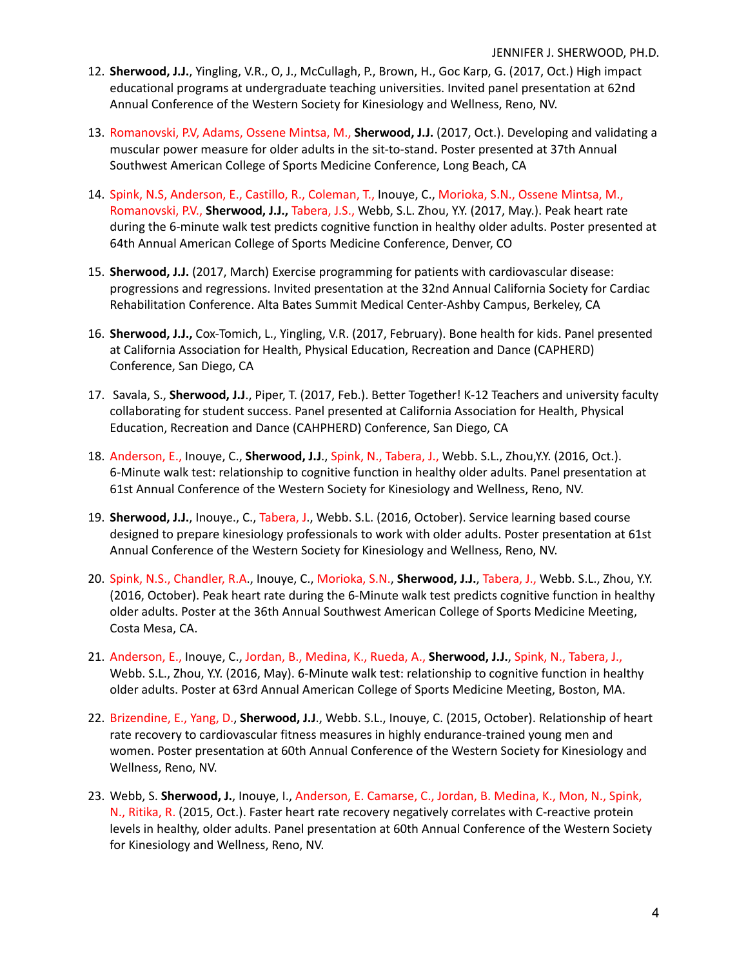- 12. **Sherwood, J.J.**, Yingling, V.R., O, J., McCullagh, P., Brown, H., Goc Karp, G. (2017, Oct.) High impact educational programs at undergraduate teaching universities. Invited panel presentation at 62nd Annual Conference of the Western Society for Kinesiology and Wellness, Reno, NV.
- 13. Romanovski, P.V, Adams, Ossene Mintsa, M., **Sherwood, J.J.** (2017, Oct.). Developing and validating a muscular power measure for older adults in the sit-to-stand. Poster presented at 37th Annual Southwest American College of Sports Medicine Conference, Long Beach, CA
- 14. Spink, N.S, Anderson, E., Castillo, R., Coleman, T., Inouye, C., Morioka, S.N., Ossene Mintsa, M., Romanovski, P.V., **Sherwood, J.J.,** Tabera, J.S., Webb, S.L. Zhou, Y.Y. (2017, May.). Peak heart rate during the 6-minute walk test predicts cognitive function in healthy older adults. Poster presented at 64th Annual American College of Sports Medicine Conference, Denver, CO
- 15. **Sherwood, J.J.** (2017, March) Exercise programming for patients with cardiovascular disease: progressions and regressions. Invited presentation at the 32nd Annual California Society for Cardiac Rehabilitation Conference. Alta Bates Summit Medical Center-Ashby Campus, Berkeley, CA
- 16. **Sherwood, J.J.,** Cox-Tomich, L., Yingling, V.R. (2017, February). Bone health for kids. Panel presented at California Association for Health, Physical Education, Recreation and Dance (CAPHERD) Conference, San Diego, CA
- 17. Savala, S., **Sherwood, J.J**., Piper, T. (2017, Feb.). Better Together! K-12 Teachers and university faculty collaborating for student success. Panel presented at California Association for Health, Physical Education, Recreation and Dance (CAHPHERD) Conference, San Diego, CA
- 18. Anderson, E., Inouye, C., **Sherwood, J.J**., Spink, N., Tabera, J., Webb. S.L., Zhou,Y.Y. (2016, Oct.). 6-Minute walk test: relationship to cognitive function in healthy older adults. Panel presentation at 61st Annual Conference of the Western Society for Kinesiology and Wellness, Reno, NV.
- 19. **Sherwood, J.J.**, Inouye., C., Tabera, J., Webb. S.L. (2016, October). Service learning based course designed to prepare kinesiology professionals to work with older adults. Poster presentation at 61st Annual Conference of the Western Society for Kinesiology and Wellness, Reno, NV.
- 20. Spink, N.S., Chandler, R.A., Inouye, C., Morioka, S.N., **Sherwood, J.J.**, Tabera, J., Webb. S.L., Zhou, Y.Y. (2016, October). Peak heart rate during the 6-Minute walk test predicts cognitive function in healthy older adults. Poster at the 36th Annual Southwest American College of Sports Medicine Meeting, Costa Mesa, CA.
- 21. Anderson, E., Inouye, C., Jordan, B., Medina, K., Rueda, A., **Sherwood, J.J.**, Spink, N., Tabera, J., Webb. S.L., Zhou, Y.Y. (2016, May). 6-Minute walk test: relationship to cognitive function in healthy older adults. Poster at 63rd Annual American College of Sports Medicine Meeting, Boston, MA.
- 22. Brizendine, E., Yang, D., **Sherwood, J.J**., Webb. S.L., Inouye, C. (2015, October). Relationship of heart rate recovery to cardiovascular fitness measures in highly endurance-trained young men and women. Poster presentation at 60th Annual Conference of the Western Society for Kinesiology and Wellness, Reno, NV.
- 23. Webb, S. **Sherwood, J.**, Inouye, I., Anderson, E. Camarse, C., Jordan, B. Medina, K., Mon, N., Spink, N., Ritika, R. (2015, Oct.). Faster heart rate recovery negatively correlates with C-reactive protein levels in healthy, older adults. Panel presentation at 60th Annual Conference of the Western Society for Kinesiology and Wellness, Reno, NV.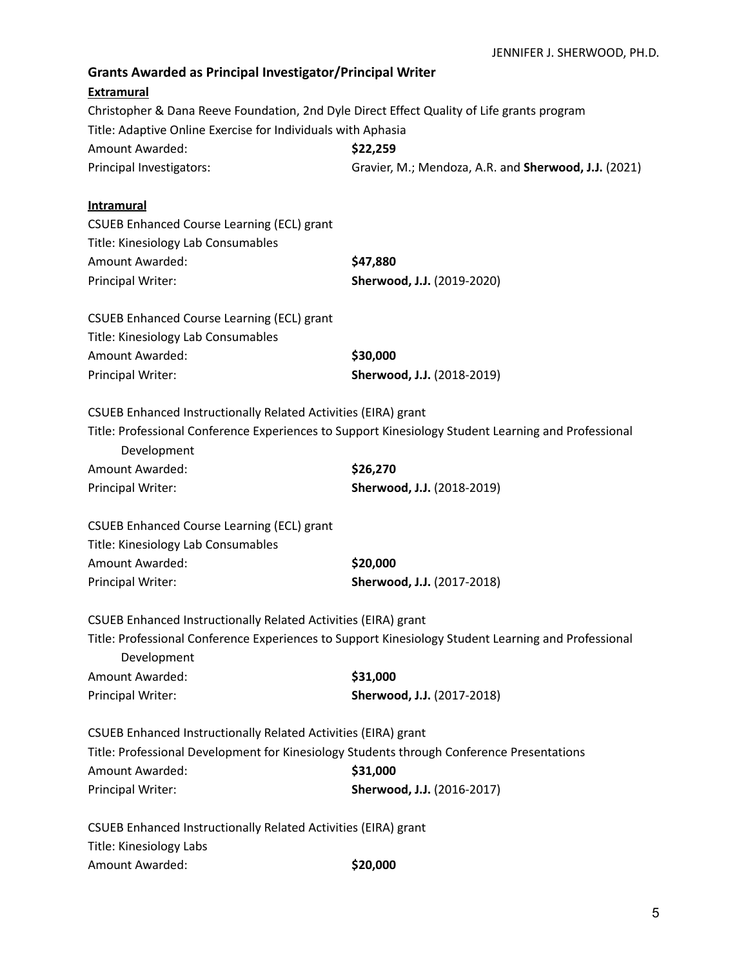| <b>Grants Awarded as Principal Investigator/Principal Writer</b>                           |                                                                                                     |  |
|--------------------------------------------------------------------------------------------|-----------------------------------------------------------------------------------------------------|--|
| <b>Extramural</b>                                                                          |                                                                                                     |  |
| Christopher & Dana Reeve Foundation, 2nd Dyle Direct Effect Quality of Life grants program |                                                                                                     |  |
| Title: Adaptive Online Exercise for Individuals with Aphasia                               |                                                                                                     |  |
| <b>Amount Awarded:</b>                                                                     | \$22,259                                                                                            |  |
| Principal Investigators:                                                                   | Gravier, M.; Mendoza, A.R. and Sherwood, J.J. (2021)                                                |  |
| <b>Intramural</b>                                                                          |                                                                                                     |  |
| <b>CSUEB Enhanced Course Learning (ECL) grant</b>                                          |                                                                                                     |  |
| Title: Kinesiology Lab Consumables                                                         |                                                                                                     |  |
| <b>Amount Awarded:</b>                                                                     | \$47,880                                                                                            |  |
| <b>Principal Writer:</b>                                                                   | Sherwood, J.J. (2019-2020)                                                                          |  |
| <b>CSUEB Enhanced Course Learning (ECL) grant</b>                                          |                                                                                                     |  |
| Title: Kinesiology Lab Consumables                                                         |                                                                                                     |  |
| <b>Amount Awarded:</b>                                                                     | \$30,000                                                                                            |  |
| <b>Principal Writer:</b>                                                                   | Sherwood, J.J. (2018-2019)                                                                          |  |
| CSUEB Enhanced Instructionally Related Activities (EIRA) grant                             |                                                                                                     |  |
| Development                                                                                | Title: Professional Conference Experiences to Support Kinesiology Student Learning and Professional |  |
| <b>Amount Awarded:</b>                                                                     | \$26,270                                                                                            |  |
| <b>Principal Writer:</b>                                                                   | Sherwood, J.J. (2018-2019)                                                                          |  |
| <b>CSUEB Enhanced Course Learning (ECL) grant</b>                                          |                                                                                                     |  |
| Title: Kinesiology Lab Consumables                                                         |                                                                                                     |  |
| <b>Amount Awarded:</b>                                                                     | \$20,000                                                                                            |  |
| <b>Principal Writer:</b>                                                                   | Sherwood, J.J. (2017-2018)                                                                          |  |
| CSUEB Enhanced Instructionally Related Activities (EIRA) grant                             |                                                                                                     |  |
| Development                                                                                | Title: Professional Conference Experiences to Support Kinesiology Student Learning and Professional |  |
| Amount Awarded:                                                                            | \$31,000                                                                                            |  |
| <b>Principal Writer:</b>                                                                   | Sherwood, J.J. (2017-2018)                                                                          |  |
| CSUEB Enhanced Instructionally Related Activities (EIRA) grant                             |                                                                                                     |  |
| Title: Professional Development for Kinesiology Students through Conference Presentations  |                                                                                                     |  |
| <b>Amount Awarded:</b>                                                                     | \$31,000                                                                                            |  |
| <b>Principal Writer:</b>                                                                   | Sherwood, J.J. (2016-2017)                                                                          |  |
| CSUEB Enhanced Instructionally Related Activities (EIRA) grant                             |                                                                                                     |  |
| Title: Kinesiology Labs                                                                    |                                                                                                     |  |
| Amount Awarded:                                                                            | \$20,000                                                                                            |  |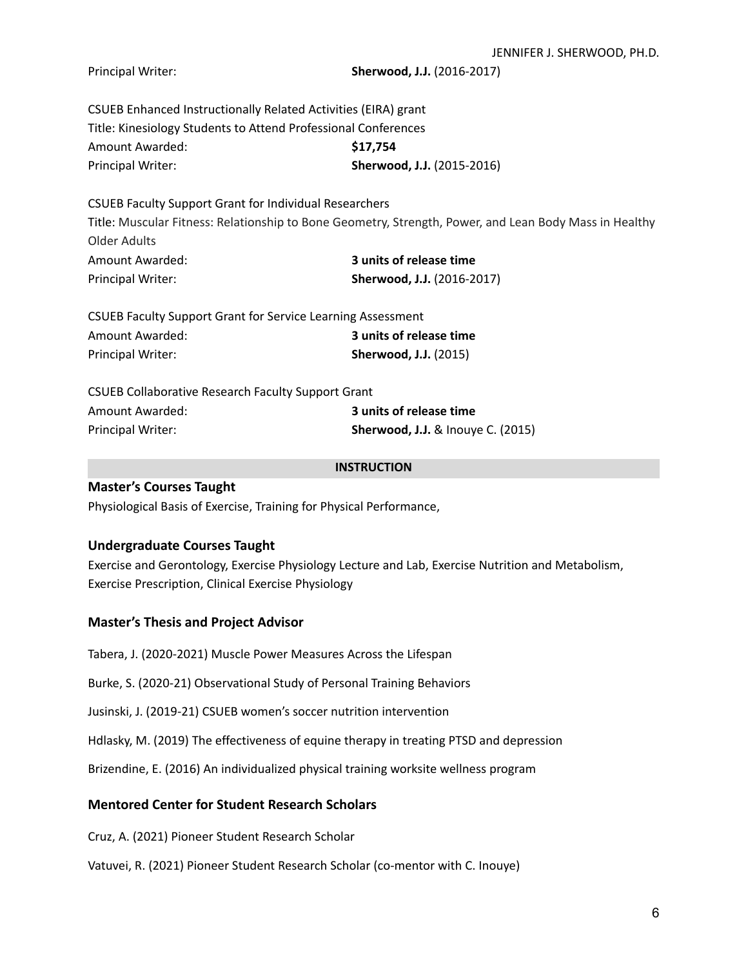| Principal Writer: |  |
|-------------------|--|
|-------------------|--|

**Sherwood, J.J.** (2016-2017)

CSUEB Enhanced Instructionally Related Activities (EIRA) grant Title: Kinesiology Students to Attend Professional Conferences Amount Awarded: **\$17,754** Principal Writer: **Sherwood, J.J.** (2015-2016)

CSUEB Faculty Support Grant for Individual Researchers

Title: Muscular Fitness: Relationship to Bone Geometry, Strength, Power, and Lean Body Mass in Healthy Older Adults Amount Awarded: **3 units of release time**

| 3 units of release time    |
|----------------------------|
| Sherwood, J.J. (2016-2017) |
|                            |

| <b>CSUEB Faculty Support Grant for Service Learning Assessment</b> |                              |
|--------------------------------------------------------------------|------------------------------|
| Amount Awarded:                                                    | 3 units of release time      |
| Principal Writer:                                                  | <b>Sherwood, J.J.</b> (2015) |

| <b>CSUEB Collaborative Research Faculty Support Grant</b> |                                          |  |
|-----------------------------------------------------------|------------------------------------------|--|
| Amount Awarded:                                           | 3 units of release time                  |  |
| <b>Principal Writer:</b>                                  | <b>Sherwood, J.J.</b> & Inouye C. (2015) |  |

#### **INSTRUCTION**

## **Master's Courses Taught**

Physiological Basis of Exercise, Training for Physical Performance,

#### **Undergraduate Courses Taught**

Exercise and Gerontology, Exercise Physiology Lecture and Lab, Exercise Nutrition and Metabolism, Exercise Prescription, Clinical Exercise Physiology

## **Master's Thesis and Project Advisor**

Tabera, J. (2020-2021) Muscle Power Measures Across the Lifespan

Burke, S. (2020-21) Observational Study of Personal Training Behaviors

Jusinski, J. (2019-21) CSUEB women's soccer nutrition intervention

Hdlasky, M. (2019) The effectiveness of equine therapy in treating PTSD and depression

Brizendine, E. (2016) An individualized physical training worksite wellness program

## **Mentored Center for Student Research Scholars**

Cruz, A. (2021) Pioneer Student Research Scholar

Vatuvei, R. (2021) Pioneer Student Research Scholar (co-mentor with C. Inouye)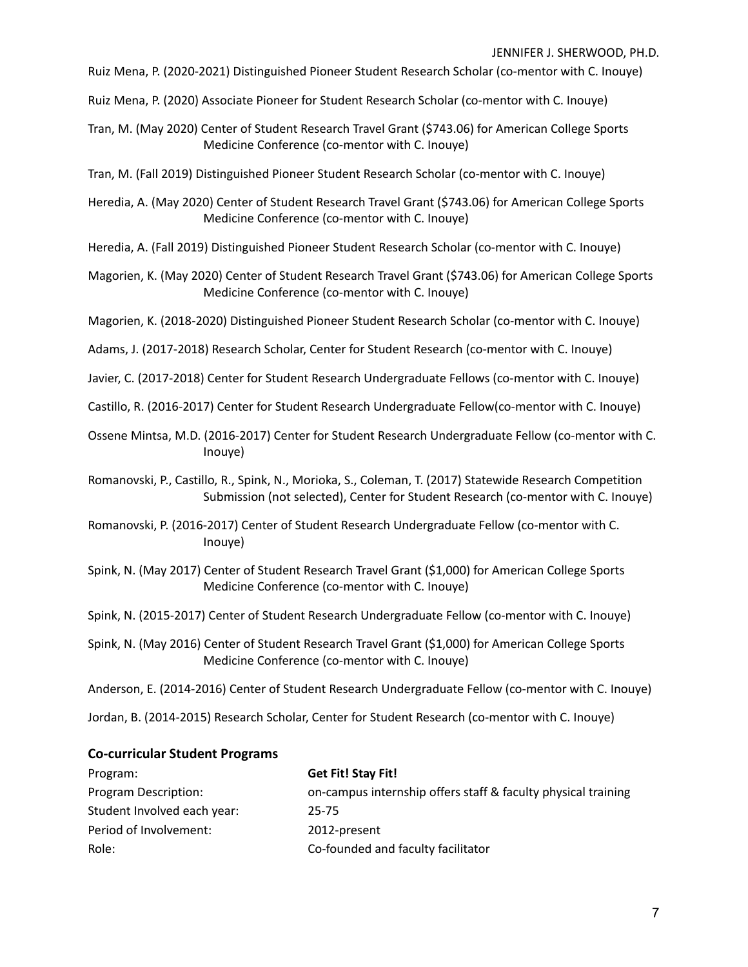Ruiz Mena, P. (2020-2021) Distinguished Pioneer Student Research Scholar (co-mentor with C. Inouye)

Ruiz Mena, P. (2020) Associate Pioneer for Student Research Scholar (co-mentor with C. Inouye)

Tran, M. (May 2020) Center of Student Research Travel Grant (\$743.06) for American College Sports Medicine Conference (co-mentor with C. Inouye)

Tran, M. (Fall 2019) Distinguished Pioneer Student Research Scholar (co-mentor with C. Inouye)

- Heredia, A. (May 2020) Center of Student Research Travel Grant (\$743.06) for American College Sports Medicine Conference (co-mentor with C. Inouye)
- Heredia, A. (Fall 2019) Distinguished Pioneer Student Research Scholar (co-mentor with C. Inouye)
- Magorien, K. (May 2020) Center of Student Research Travel Grant (\$743.06) for American College Sports Medicine Conference (co-mentor with C. Inouye)

Magorien, K. (2018-2020) Distinguished Pioneer Student Research Scholar (co-mentor with C. Inouye)

- Adams, J. (2017-2018) Research Scholar, Center for Student Research (co-mentor with C. Inouye)
- Javier, C. (2017-2018) Center for Student Research Undergraduate Fellows (co-mentor with C. Inouye)
- Castillo, R. (2016-2017) Center for Student Research Undergraduate Fellow(co-mentor with C. Inouye)
- Ossene Mintsa, M.D. (2016-2017) Center for Student Research Undergraduate Fellow (co-mentor with C. Inouye)

Romanovski, P., Castillo, R., Spink, N., Morioka, S., Coleman, T. (2017) Statewide Research Competition Submission (not selected), Center for Student Research (co-mentor with C. Inouye)

- Romanovski, P. (2016-2017) Center of Student Research Undergraduate Fellow (co-mentor with C. Inouye)
- Spink, N. (May 2017) Center of Student Research Travel Grant (\$1,000) for American College Sports Medicine Conference (co-mentor with C. Inouye)
- Spink, N. (2015-2017) Center of Student Research Undergraduate Fellow (co-mentor with C. Inouye)
- Spink, N. (May 2016) Center of Student Research Travel Grant (\$1,000) for American College Sports Medicine Conference (co-mentor with C. Inouye)

Anderson, E. (2014-2016) Center of Student Research Undergraduate Fellow (co-mentor with C. Inouye)

Jordan, B. (2014-2015) Research Scholar, Center for Student Research (co-mentor with C. Inouye)

### **Co-curricular Student Programs**

| Program:                    | Get Fit! Stay Fit!                                            |
|-----------------------------|---------------------------------------------------------------|
| Program Description:        | on-campus internship offers staff & faculty physical training |
| Student Involved each year: | 25-75                                                         |
| Period of Involvement:      | 2012-present                                                  |
| Role:                       | Co-founded and faculty facilitator                            |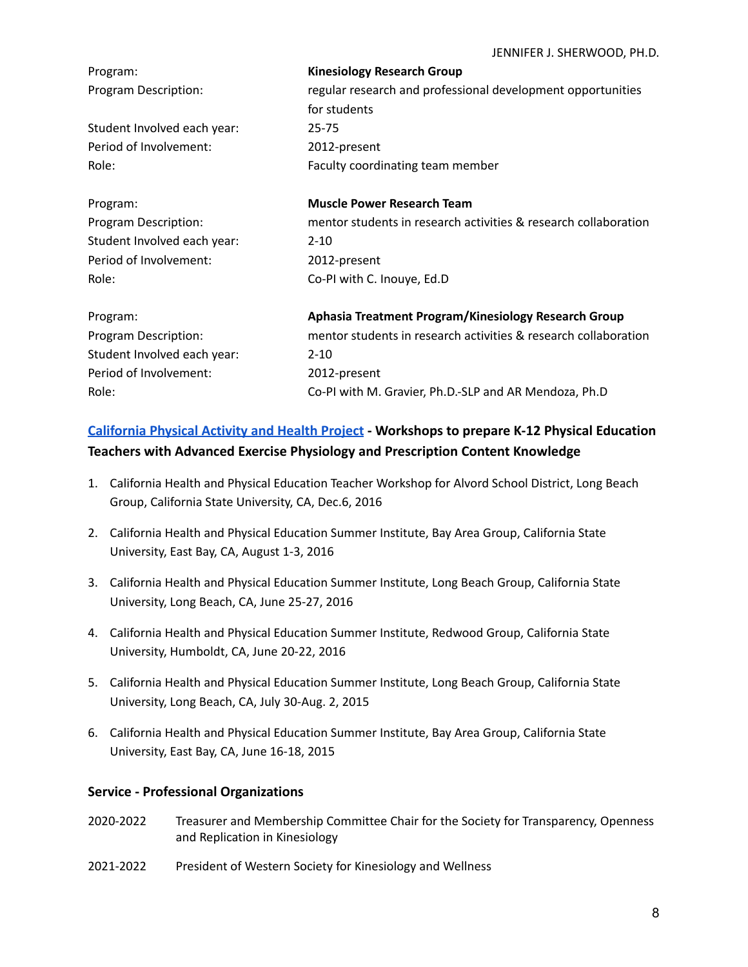| Program:                    | <b>Kinesiology Research Group</b>                                           |
|-----------------------------|-----------------------------------------------------------------------------|
| Program Description:        | regular research and professional development opportunities<br>for students |
| Student Involved each year: | $25 - 75$                                                                   |
| Period of Involvement:      | 2012-present                                                                |
| Role:                       | Faculty coordinating team member                                            |
| Program:                    | <b>Muscle Power Research Team</b>                                           |
| Program Description:        | mentor students in research activities & research collaboration             |
| Student Involved each year: | $2 - 10$                                                                    |
| Period of Involvement:      | 2012-present                                                                |
| Role:                       | Co-PI with C. Inouye, Ed.D                                                  |
| Program:                    | Aphasia Treatment Program/Kinesiology Research Group                        |
| Program Description:        | mentor students in research activities & research collaboration             |
| Student Involved each year: | $2 - 10$                                                                    |
| Period of Involvement:      | 2012-present                                                                |
| Role:                       | Co-PI with M. Gravier, Ph.D.-SLP and AR Mendoza, Ph.D                       |

# **[California Physical Activity and Health Project](https://www.ucop.edu/educator-programs/_files/cpe-hp-insert.pdf) - Workshops to prepare K-12 Physical Education Teachers with Advanced Exercise Physiology and Prescription Content Knowledge**

- 1. California Health and Physical Education Teacher Workshop for Alvord School District, Long Beach Group, California State University, CA, Dec.6, 2016
- 2. California Health and Physical Education Summer Institute, Bay Area Group, California State University, East Bay, CA, August 1-3, 2016
- 3. California Health and Physical Education Summer Institute, Long Beach Group, California State University, Long Beach, CA, June 25-27, 2016
- 4. California Health and Physical Education Summer Institute, Redwood Group, California State University, Humboldt, CA, June 20-22, 2016
- 5. California Health and Physical Education Summer Institute, Long Beach Group, California State University, Long Beach, CA, July 30-Aug. 2, 2015
- 6. California Health and Physical Education Summer Institute, Bay Area Group, California State University, East Bay, CA, June 16-18, 2015

## **Service - Professional Organizations**

- 2020-2022 Treasurer and Membership Committee Chair for the Society for Transparency, Openness and Replication in Kinesiology
- 2021-2022 President of Western Society for Kinesiology and Wellness